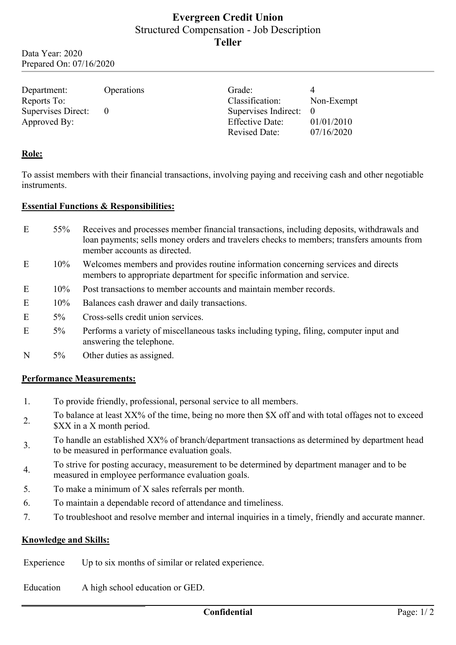# **Evergreen Credit Union** Structured Compensation - Job Description **Teller**

Data Year: 2020 Prepared On: 07/16/2020

| Department:<br>Reports To: | <b>Operations</b> | Grade:<br>Classification:                      | Non-Exempt               |
|----------------------------|-------------------|------------------------------------------------|--------------------------|
| Supervises Direct:         |                   | Supervises Indirect: 0                         |                          |
| Approved By:               |                   | <b>Effective Date:</b><br><b>Revised Date:</b> | 01/01/2010<br>07/16/2020 |

### **Role:**

To assist members with their financial transactions, involving paying and receiving cash and other negotiable instruments.

#### **Essential Functions & Responsibilities:**

- E 55% Receives and processes member financial transactions, including deposits, withdrawals and loan payments; sells money orders and travelers checks to members; transfers amounts from member accounts as directed.
- E 10% Welcomes members and provides routine information concerning services and directs members to appropriate department for specific information and service.
- E 10% Post transactions to member accounts and maintain member records.
- E 10% Balances cash drawer and daily transactions.
- E 5% Cross-sells credit union services.
- E 5% Performs a variety of miscellaneous tasks including typing, filing, computer input and answering the telephone.
- N 5% Other duties as assigned.

#### **Performance Measurements:**

- 1. To provide friendly, professional, personal service to all members.
- 2. To balance at least XX% of the time, being no more then \$X off and with total offages not to exceed \$XX in a X month period.
- 3. To handle an established XX% of branch/department transactions as determined by department head to be measured in performance evaluation goals.
- 4. To strive for posting accuracy, measurement to be determined by department manager and to be measured in employee performance evaluation goals.
- 5. To make a minimum of X sales referrals per month.
- 6. To maintain a dependable record of attendance and timeliness.
- 7. To troubleshoot and resolve member and internal inquiries in a timely, friendly and accurate manner.

#### **Knowledge and Skills:**

Experience Up to six months of similar or related experience.

Education A high school education or GED.